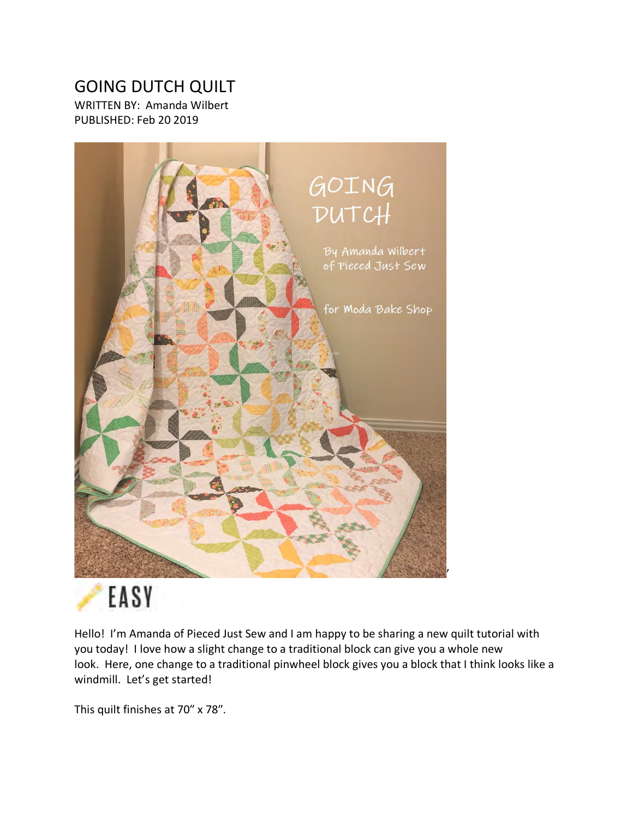### GOING DUTCH QUILT

WRITTEN BY: Amanda Wilbert PUBLISHED: Feb 20 2019





Hello! I'm Amanda of Pieced Just Sew and I am happy to be sharing a new quilt tutorial with you today! I love how a slight change to a traditional block can give you a whole new look. Here, one change to a traditional pinwheel block gives you a block that I think looks like a windmill. Let's get started!

This quilt finishes at 70" x 78".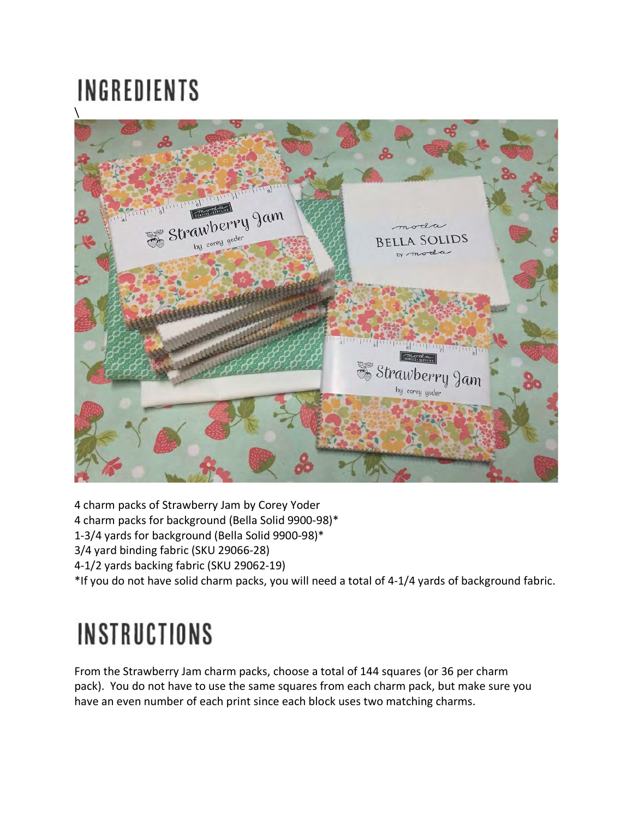## INGREDIENTS



4 charm packs of Strawberry Jam by Corey Yoder 4 charm packs for background (Bella Solid 9900-98)\* 1-3/4 yards for background (Bella Solid 9900-98)\* 3/4 yard binding fabric (SKU 29066-28) 4-1/2 yards backing fabric (SKU 29062-19) \*If you do not have solid charm packs, you will need a total of 4-1/4 yards of background fabric.

## **INSTRUCTIONS**

From the Strawberry Jam charm packs, choose a total of 144 squares (or 36 per charm pack). You do not have to use the same squares from each charm pack, but make sure you have an even number of each print since each block uses two matching charms.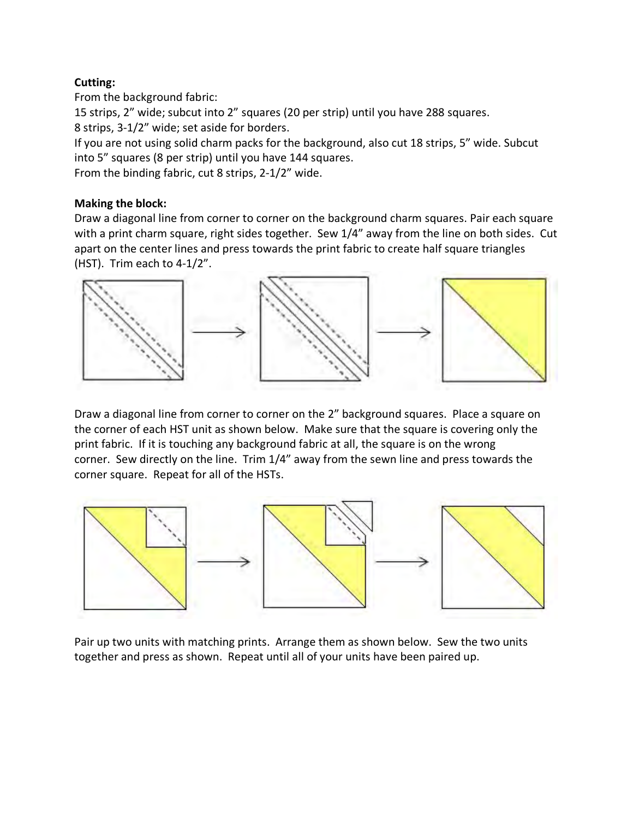#### **Cutting:**

From the background fabric:

15 strips, 2" wide; subcut into 2" squares (20 per strip) until you have 288 squares. 8 strips, 3-1/2" wide; set aside for borders.

If you are not using solid charm packs for the background, also cut 18 strips, 5" wide. Subcut into 5" squares (8 per strip) until you have 144 squares.

From the binding fabric, cut 8 strips, 2-1/2" wide.

#### **Making the block:**

Draw a diagonal line from corner to corner on the background charm squares. Pair each square with a print charm square, right sides together. Sew 1/4" away from the line on both sides. Cut apart on the center lines and press towards the print fabric to create half square triangles (HST). Trim each to 4-1/2".



Draw a diagonal line from corner to corner on the 2" background squares. Place a square on the corner of each HST unit as shown below. Make sure that the square is covering only the print fabric. If it is touching any background fabric at all, the square is on the wrong corner. Sew directly on the line. Trim 1/4" away from the sewn line and press towards the corner square. Repeat for all of the HSTs.



Pair up two units with matching prints. Arrange them as shown below. Sew the two units together and press as shown. Repeat until all of your units have been paired up.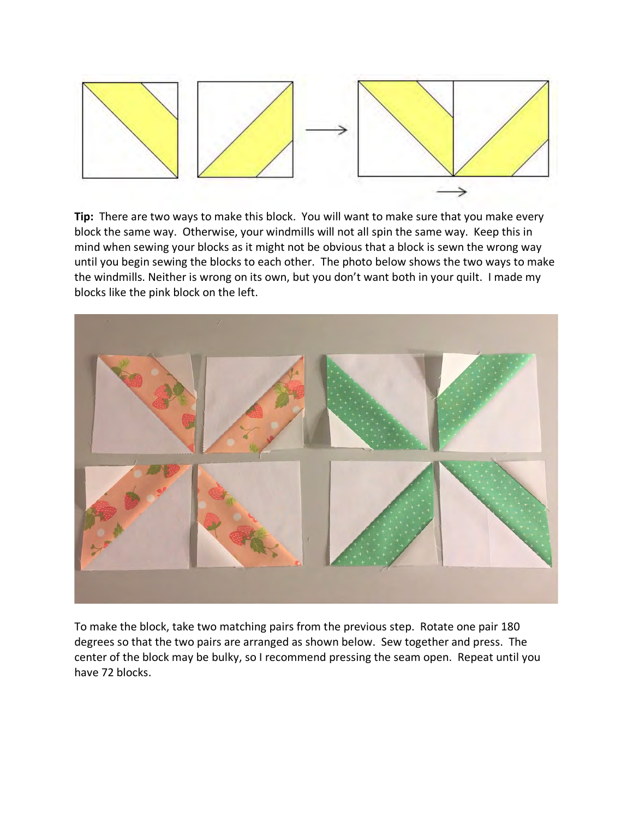

**Tip:** There are two ways to make this block. You will want to make sure that you make every block the same way. Otherwise, your windmills will not all spin the same way. Keep this in mind when sewing your blocks as it might not be obvious that a block is sewn the wrong way until you begin sewing the blocks to each other. The photo below shows the two ways to make the windmills. Neither is wrong on its own, but you don't want both in your quilt. I made my blocks like the pink block on the left.



To make the block, take two matching pairs from the previous step. Rotate one pair 180 degrees so that the two pairs are arranged as shown below. Sew together and press. The center of the block may be bulky, so I recommend pressing the seam open. Repeat until you have 72 blocks.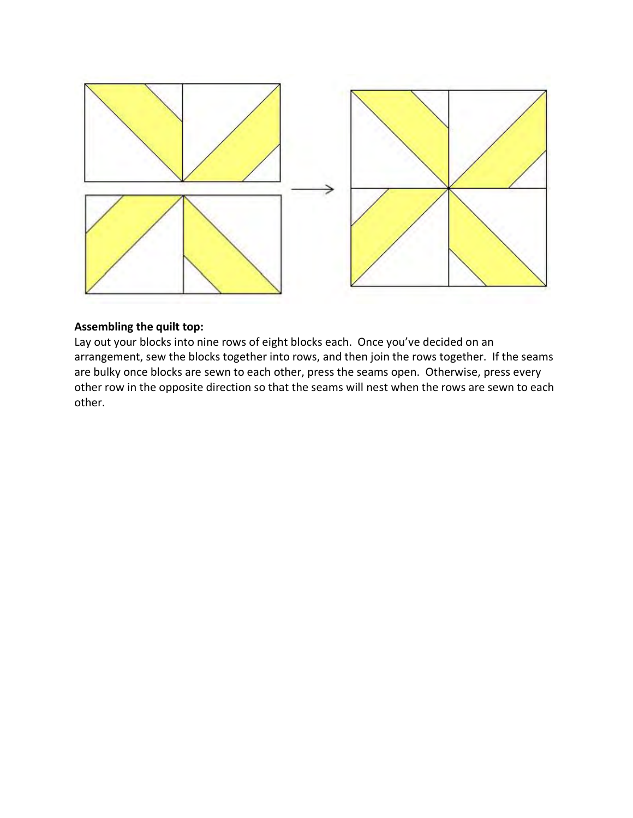

#### **Assembling the quilt top:**

Lay out your blocks into nine rows of eight blocks each. Once you've decided on an arrangement, sew the blocks together into rows, and then join the rows together. If the seams are bulky once blocks are sewn to each other, press the seams open. Otherwise, press every other row in the opposite direction so that the seams will nest when the rows are sewn to each other.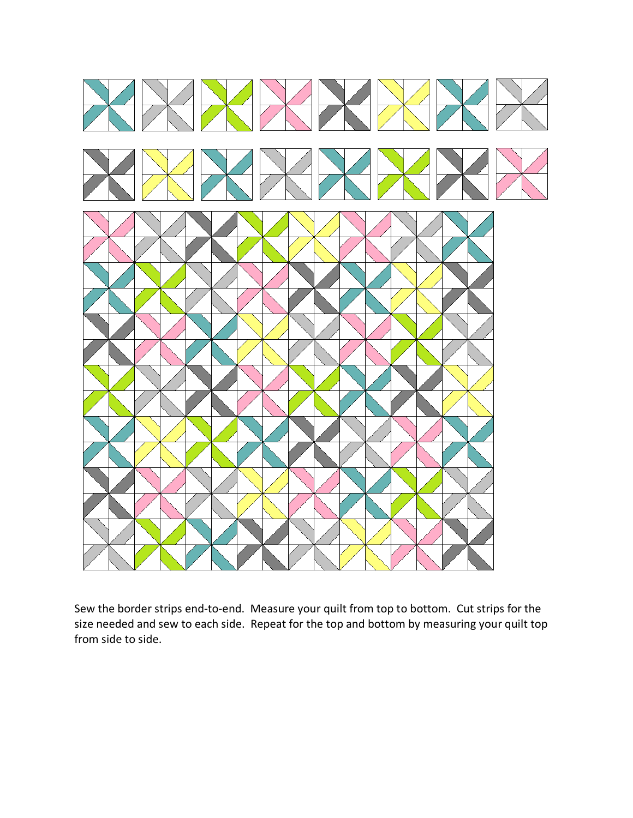

Sew the border strips end-to-end. Measure your quilt from top to bottom. Cut strips for the size needed and sew to each side. Repeat for the top and bottom by measuring your quilt top from side to side.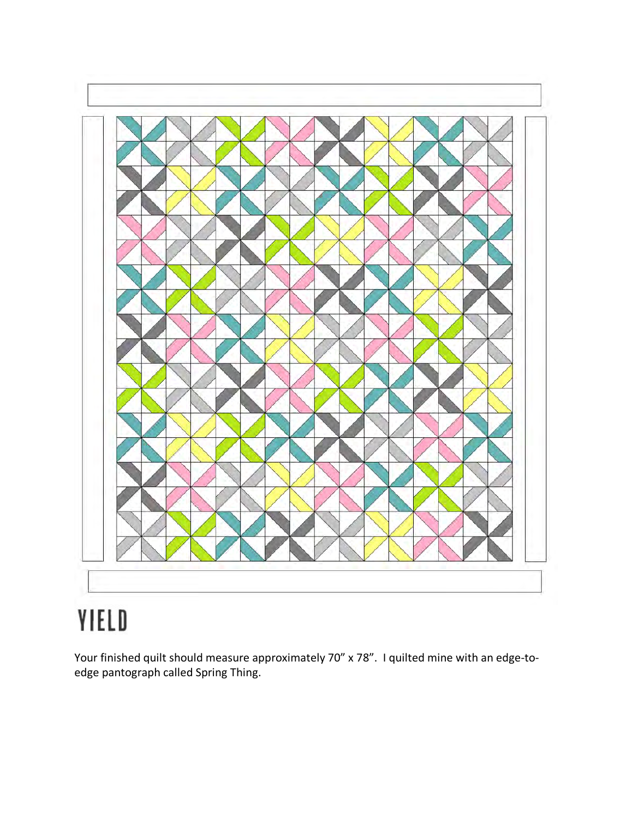

# YIELD

Your finished quilt should measure approximately 70" x 78". I quilted mine with an edge-toedge pantograph called Spring Thing.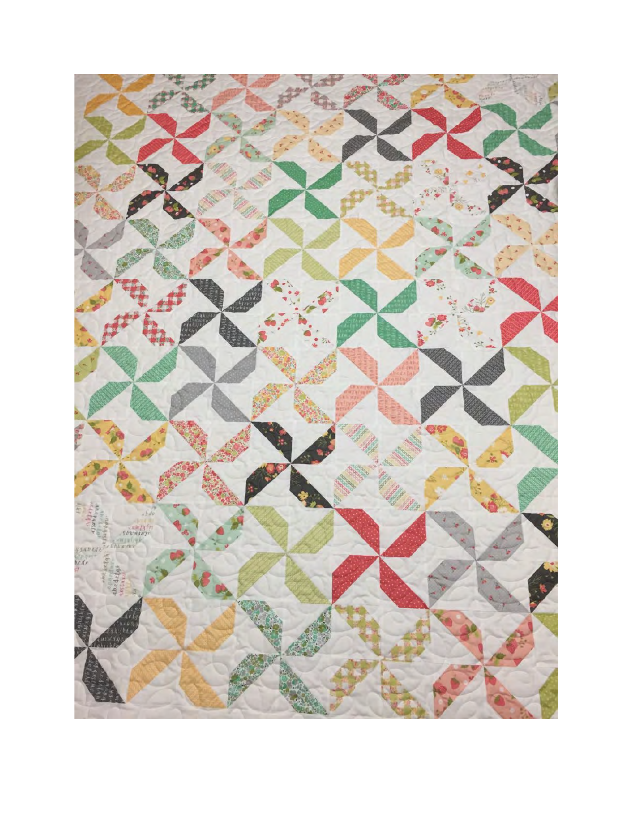